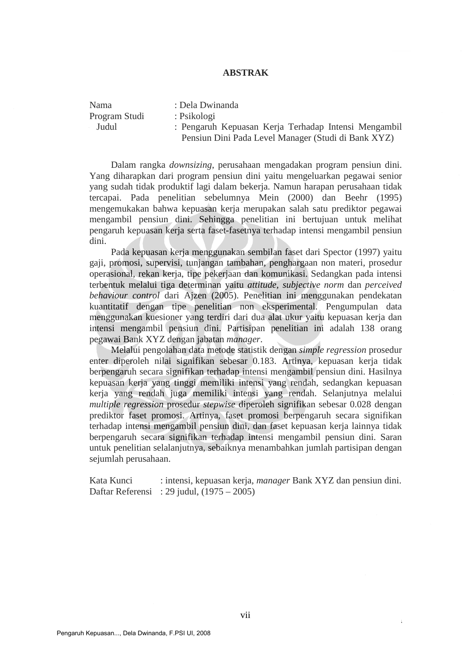## **ABSTRAK**

| Nama          | : Dela Dwinanda                                      |
|---------------|------------------------------------------------------|
| Program Studi | : Psikologi                                          |
| Judul         | : Pengaruh Kepuasan Kerja Terhadap Intensi Mengambil |
|               | Pensiun Dini Pada Level Manager (Studi di Bank XYZ)  |
|               |                                                      |

Dalam rangka *downsizing*, perusahaan mengadakan program pensiun dini. Yang diharapkan dari program pensiun dini yaitu mengeluarkan pegawai senior yang sudah tidak produktif lagi dalam bekerja. Namun harapan perusahaan tidak tercapai. Pada penelitian sebelumnya Mein (2000) dan Beehr (1995) mengemukakan bahwa kepuasan kerja merupakan salah satu prediktor pegawai mengambil pensiun dini. Sehingga penelitian ini bertujuan untuk melihat pengaruh kepuasan kerja serta faset-fasetnya terhadap intensi mengambil pensiun dini.

Pada kepuasan kerja menggunakan sembilan faset dari Spector (1997) yaitu gaji, promosi, supervisi, tunjangan tambahan, penghargaan non materi, prosedur operasional, rekan kerja, tipe pekerjaan dan komunikasi. Sedangkan pada intensi terbentuk melalui tiga determinan yaitu *attitude, subjective norm* dan *perceived behaviour control* dari Ajzen (2005). Penelitian ini menggunakan pendekatan kuantitatif dengan tipe penelitian non eksperimental. Pengumpulan data menggunakan kuesioner yang terdiri dari dua alat ukur yaitu kepuasan kerja dan intensi mengambil pensiun dini. Partisipan penelitian ini adalah 138 orang pegawai Bank XYZ dengan jabatan *manager*.

Melalui pengolahan data metode statistik dengan *simple regression* prosedur enter diperoleh nilai signifikan sebesar 0.183. Artinya, kepuasan kerja tidak berpengaruh secara signifikan terhadap intensi mengambil pensiun dini. Hasilnya kepuasan kerja yang tinggi memiliki intensi yang rendah, sedangkan kepuasan kerja yang rendah juga memiliki intensi yang rendah. Selanjutnya melalui *multiple regression* prosedur *stepwise* diperoleh signifikan sebesar 0.028 dengan prediktor faset promosi. Artinya, faset promosi berpengaruh secara signifikan terhadap intensi mengambil pensiun dini, dan faset kepuasan kerja lainnya tidak berpengaruh secara signifikan terhadap intensi mengambil pensiun dini. Saran untuk penelitian selalanjutnya, sebaiknya menambahkan jumlah partisipan dengan sejumlah perusahaan.

Kata Kunci : intensi, kepuasan kerja, *manager* Bank XYZ dan pensiun dini. Daftar Referensi : 29 judul, (1975 – 2005)